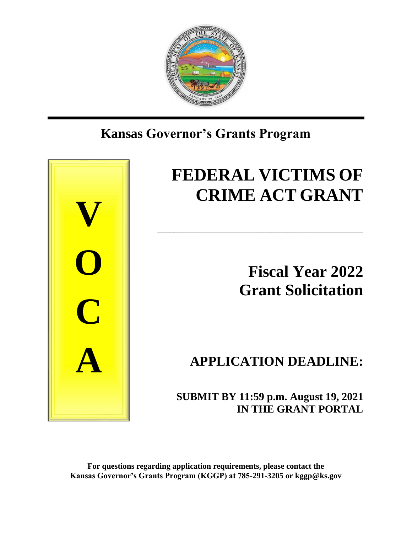

# **Kansas Governor's Grants Program**



# **FEDERAL VICTIMS OF CRIME ACT GRANT**

\_\_\_\_\_\_\_\_\_\_\_\_\_\_\_\_\_\_\_\_\_\_\_\_\_\_\_\_\_\_\_\_\_\_\_\_\_\_\_\_\_\_\_\_\_\_\_\_\_\_\_

**Fiscal Year 2022 Grant Solicitation**

**APPLICATION DEADLINE:**

 **SUBMIT BY 11:59 p.m. August 19, 2021 IN THE GRANT PORTAL**

**For questions regarding application requirements, please contact the Kansas Governor's Grants Program (KGGP) at 785-291-3205 or kggp@ks.gov**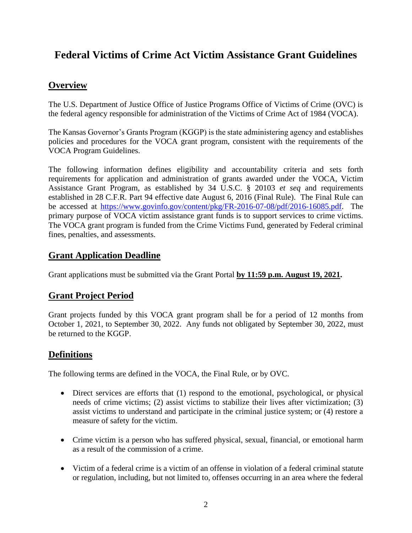# **Federal Victims of Crime Act Victim Assistance Grant Guidelines**

# **Overview**

The U.S. Department of Justice Office of Justice Programs Office of Victims of Crime (OVC) is the federal agency responsible for administration of the Victims of Crime Act of 1984 (VOCA).

The Kansas Governor's Grants Program (KGGP) is the state administering agency and establishes policies and procedures for the VOCA grant program, consistent with the requirements of the VOCA Program Guidelines.

The following information defines eligibility and accountability criteria and sets forth requirements for application and administration of grants awarded under the VOCA, Victim Assistance Grant Program, as established by 34 U.S.C. § 20103 *et seq* and requirements established in 28 C.F.R. Part 94 effective date August 6, 2016 (Final Rule). The Final Rule can be accessed at [https://www.govinfo.gov/content/pkg/FR-2016-07-08/pdf/2016-16085.pdf.](https://www.govinfo.gov/content/pkg/FR-2016-07-08/pdf/2016-16085.pdf) The primary purpose of VOCA victim assistance grant funds is to support services to crime victims. The VOCA grant program is funded from the Crime Victims Fund, generated by Federal criminal fines, penalties, and assessments.

# **Grant Application Deadline**

Grant applications must be submitted via the Grant Portal **by 11:59 p.m. August 19, 2021.**

# **Grant Project Period**

Grant projects funded by this VOCA grant program shall be for a period of 12 months from October 1, 2021, to September 30, 2022. Any funds not obligated by September 30, 2022, must be returned to the KGGP.

# **Definitions**

The following terms are defined in the VOCA, the Final Rule, or by OVC.

- Direct services are efforts that (1) respond to the emotional, psychological, or physical needs of crime victims; (2) assist victims to stabilize their lives after victimization; (3) assist victims to understand and participate in the criminal justice system; or (4) restore a measure of safety for the victim.
- Crime victim is a person who has suffered physical, sexual, financial, or emotional harm as a result of the commission of a crime.
- Victim of a federal crime is a victim of an offense in violation of a federal criminal statute or regulation, including, but not limited to, offenses occurring in an area where the federal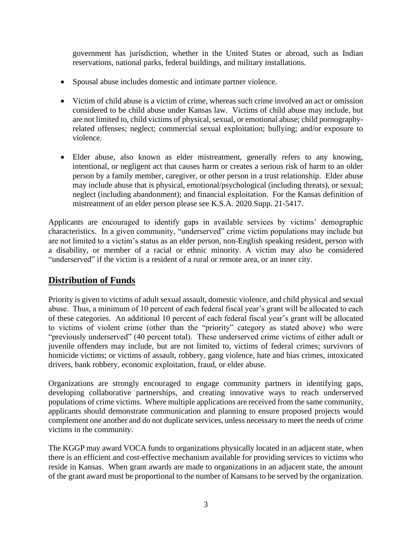government has jurisdiction, whether in the United States or abroad, such as Indian reservations, national parks, federal buildings, and military installations.

- Spousal abuse includes domestic and intimate partner violence.
- Victim of child abuse is a victim of crime, whereas such crime involved an act or omission considered to be child abuse under Kansas law. Victims of child abuse may include, but are not limited to, child victims of physical, sexual, or emotional abuse; child pornographyrelated offenses; neglect; commercial sexual exploitation; bullying; and/or exposure to violence.
- Elder abuse, also known as elder mistreatment, generally refers to any knowing, intentional, or negligent act that causes harm or creates a serious risk of harm to an older person by a family member, caregiver, or other person in a trust relationship. Elder abuse may include abuse that is physical, emotional/psychological (including threats), or sexual; neglect (including abandonment); and financial exploitation. For the Kansas definition of mistreatment of an elder person please see K.S.A. 2020 Supp. 21-5417.

Applicants are encouraged to identify gaps in available services by victims' demographic characteristics. In a given community, "underserved" crime victim populations may include but are not limited to a victim's status as an elder person, non-English speaking resident, person with a disability, or member of a racial or ethnic minority. A victim may also be considered "underserved" if the victim is a resident of a rural or remote area, or an inner city.

# **Distribution of Funds**

Priority is given to victims of adult sexual assault, domestic violence, and child physical and sexual abuse. Thus, a minimum of 10 percent of each federal fiscal year's grant will be allocated to each of these categories. An additional 10 percent of each federal fiscal year's grant will be allocated to victims of violent crime (other than the "priority" category as stated above) who were "previously underserved" (40 percent total). These underserved crime victims of either adult or juvenile offenders may include, but are not limited to, victims of federal crimes; survivors of homicide victims; or victims of assault, robbery, gang violence, hate and bias crimes, intoxicated drivers, bank robbery, economic exploitation, fraud, or elder abuse.

Organizations are strongly encouraged to engage community partners in identifying gaps, developing collaborative partnerships, and creating innovative ways to reach underserved populations of crime victims. Where multiple applications are received from the same community, applicants should demonstrate communication and planning to ensure proposed projects would complement one another and do not duplicate services, unless necessary to meet the needs of crime victims in the community.

The KGGP may award VOCA funds to organizations physically located in an adjacent state, when there is an efficient and cost-effective mechanism available for providing services to victims who reside in Kansas. When grant awards are made to organizations in an adjacent state, the amount of the grant award must be proportional to the number of Kansans to be served by the organization.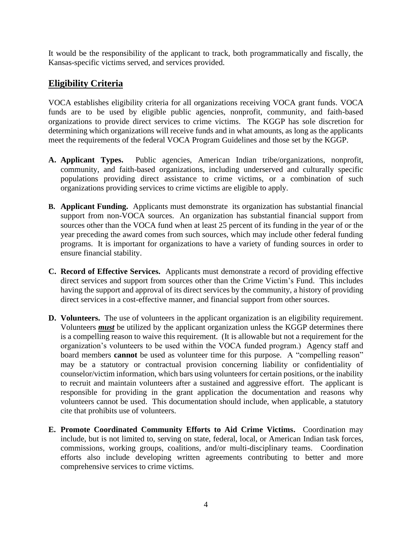It would be the responsibility of the applicant to track, both programmatically and fiscally, the Kansas-specific victims served, and services provided.

# **Eligibility Criteria**

VOCA establishes eligibility criteria for all organizations receiving VOCA grant funds. VOCA funds are to be used by eligible public agencies, nonprofit, community, and faith-based organizations to provide direct services to crime victims. The KGGP has sole discretion for determining which organizations will receive funds and in what amounts, as long as the applicants meet the requirements of the federal VOCA Program Guidelines and those set by the KGGP.

- **A. Applicant Types.** Public agencies, American Indian tribe/organizations, nonprofit, community, and faith-based organizations, including underserved and culturally specific populations providing direct assistance to crime victims, or a combination of such organizations providing services to crime victims are eligible to apply.
- **B. Applicant Funding.** Applicants must demonstrate its organization has substantial financial support from non-VOCA sources. An organization has substantial financial support from sources other than the VOCA fund when at least 25 percent of its funding in the year of or the year preceding the award comes from such sources, which may include other federal funding programs. It is important for organizations to have a variety of funding sources in order to ensure financial stability.
- **C. Record of Effective Services.** Applicants must demonstrate a record of providing effective direct services and support from sources other than the Crime Victim's Fund. This includes having the support and approval of its direct services by the community, a history of providing direct services in a cost-effective manner, and financial support from other sources.
- **D. Volunteers.** The use of volunteers in the applicant organization is an eligibility requirement. Volunteers *must* be utilized by the applicant organization unless the KGGP determines there is a compelling reason to waive this requirement. (It is allowable but not a requirement for the organization's volunteers to be used within the VOCA funded program.) Agency staff and board members **cannot** be used as volunteer time for this purpose. A "compelling reason" may be a statutory or contractual provision concerning liability or confidentiality of counselor/victim information, which bars using volunteers for certain positions, or the inability to recruit and maintain volunteers after a sustained and aggressive effort. The applicant is responsible for providing in the grant application the documentation and reasons why volunteers cannot be used. This documentation should include, when applicable, a statutory cite that prohibits use of volunteers.
- **E. Promote Coordinated Community Efforts to Aid Crime Victims.** Coordination may include, but is not limited to, serving on state, federal, local, or American Indian task forces, commissions, working groups, coalitions, and/or multi-disciplinary teams. Coordination efforts also include developing written agreements contributing to better and more comprehensive services to crime victims.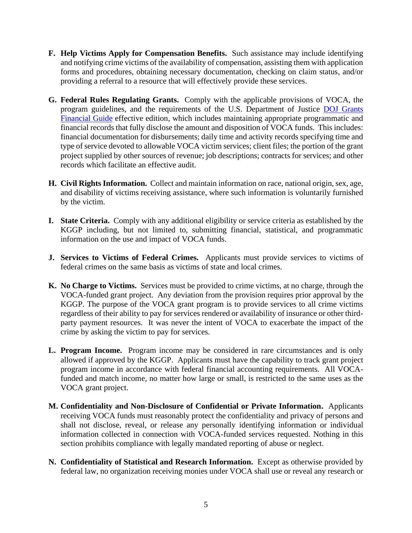- **F. Help Victims Apply for Compensation Benefits.** Such assistance may include identifying and notifying crime victims of the availability of compensation, assisting them with application forms and procedures, obtaining necessary documentation, checking on claim status, and/or providing a referral to a resource that will effectively provide these services.
- **G. Federal Rules Regulating Grants.** Comply with the applicable provisions of VOCA, the program guidelines, and the requirements of the U.S. Department of Justice [DOJ Grants](http://ojp.gov/financialguide/DOJ/index.htm)  [Financial Guide](http://ojp.gov/financialguide/DOJ/index.htm) effective edition, which includes maintaining appropriate programmatic and financial records that fully disclose the amount and disposition of VOCA funds. This includes: financial documentation for disbursements; daily time and activity records specifying time and type of service devoted to allowable VOCA victim services; client files; the portion of the grant project supplied by other sources of revenue; job descriptions; contracts for services; and other records which facilitate an effective audit.
- **H. Civil Rights Information.** Collect and maintain information on race, national origin, sex, age, and disability of victims receiving assistance, where such information is voluntarily furnished by the victim.
- **I. State Criteria.** Comply with any additional eligibility or service criteria as established by the KGGP including, but not limited to, submitting financial, statistical, and programmatic information on the use and impact of VOCA funds.
- **J. Services to Victims of Federal Crimes.** Applicants must provide services to victims of federal crimes on the same basis as victims of state and local crimes.
- **K. No Charge to Victims.** Services must be provided to crime victims, at no charge, through the VOCA-funded grant project. Any deviation from the provision requires prior approval by the KGGP. The purpose of the VOCA grant program is to provide services to all crime victims regardless of their ability to pay for services rendered or availability of insurance or other thirdparty payment resources. It was never the intent of VOCA to exacerbate the impact of the crime by asking the victim to pay for services.
- **L. Program Income.** Program income may be considered in rare circumstances and is only allowed if approved by the KGGP. Applicants must have the capability to track grant project program income in accordance with federal financial accounting requirements. All VOCAfunded and match income, no matter how large or small, is restricted to the same uses as the VOCA grant project.
- **M. Confidentiality and Non-Disclosure of Confidential or Private Information.** Applicants receiving VOCA funds must reasonably protect the confidentiality and privacy of persons and shall not disclose, reveal, or release any personally identifying information or individual information collected in connection with VOCA-funded services requested. Nothing in this section prohibits compliance with legally mandated reporting of abuse or neglect.
- **N. Confidentiality of Statistical and Research Information.** Except as otherwise provided by federal law, no organization receiving monies under VOCA shall use or reveal any research or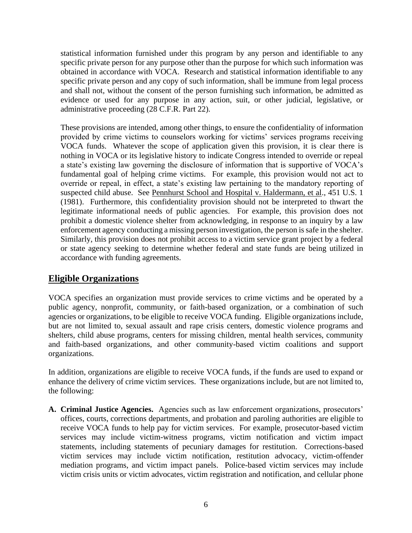statistical information furnished under this program by any person and identifiable to any specific private person for any purpose other than the purpose for which such information was obtained in accordance with VOCA. Research and statistical information identifiable to any specific private person and any copy of such information, shall be immune from legal process and shall not, without the consent of the person furnishing such information, be admitted as evidence or used for any purpose in any action, suit, or other judicial, legislative, or administrative proceeding (28 C.F.R. Part 22).

These provisions are intended, among other things, to ensure the confidentiality of information provided by crime victims to counselors working for victims' services programs receiving VOCA funds. Whatever the scope of application given this provision, it is clear there is nothing in VOCA or its legislative history to indicate Congress intended to override or repeal a state's existing law governing the disclosure of information that is supportive of VOCA's fundamental goal of helping crime victims. For example, this provision would not act to override or repeal, in effect, a state's existing law pertaining to the mandatory reporting of suspected child abuse. See Pennhurst School and Hospital v. Haldermann, et al., 451 U.S. 1 (1981). Furthermore, this confidentiality provision should not be interpreted to thwart the legitimate informational needs of public agencies. For example, this provision does not prohibit a domestic violence shelter from acknowledging, in response to an inquiry by a law enforcement agency conducting a missing person investigation, the person is safe in the shelter. Similarly, this provision does not prohibit access to a victim service grant project by a federal or state agency seeking to determine whether federal and state funds are being utilized in accordance with funding agreements.

# **Eligible Organizations**

VOCA specifies an organization must provide services to crime victims and be operated by a public agency, nonprofit, community, or faith-based organization, or a combination of such agencies or organizations, to be eligible to receive VOCA funding. Eligible organizations include, but are not limited to, sexual assault and rape crisis centers, domestic violence programs and shelters, child abuse programs, centers for missing children, mental health services, community and faith-based organizations, and other community-based victim coalitions and support organizations.

In addition, organizations are eligible to receive VOCA funds, if the funds are used to expand or enhance the delivery of crime victim services. These organizations include, but are not limited to, the following:

**A. Criminal Justice Agencies.** Agencies such as law enforcement organizations, prosecutors' offices, courts, corrections departments, and probation and paroling authorities are eligible to receive VOCA funds to help pay for victim services. For example, prosecutor-based victim services may include victim-witness programs, victim notification and victim impact statements, including statements of pecuniary damages for restitution. Corrections-based victim services may include victim notification, restitution advocacy, victim-offender mediation programs, and victim impact panels. Police-based victim services may include victim crisis units or victim advocates, victim registration and notification, and cellular phone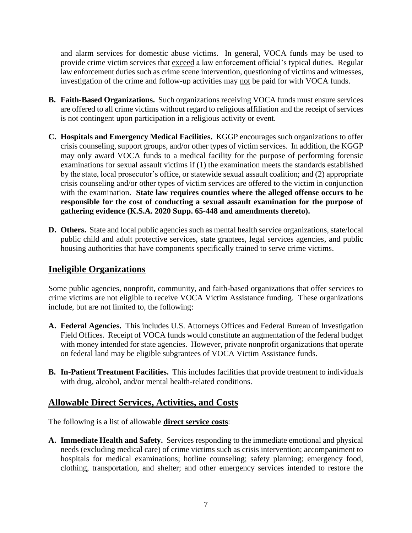and alarm services for domestic abuse victims. In general, VOCA funds may be used to provide crime victim services that exceed a law enforcement official's typical duties. Regular law enforcement duties such as crime scene intervention, questioning of victims and witnesses, investigation of the crime and follow-up activities may not be paid for with VOCA funds.

- **B. Faith-Based Organizations.** Such organizations receiving VOCA funds must ensure services are offered to all crime victims without regard to religious affiliation and the receipt of services is not contingent upon participation in a religious activity or event.
- **C. Hospitals and Emergency Medical Facilities.** KGGP encourages such organizations to offer crisis counseling, support groups, and/or other types of victim services. In addition, the KGGP may only award VOCA funds to a medical facility for the purpose of performing forensic examinations for sexual assault victims if (1) the examination meets the standards established by the state, local prosecutor's office, or statewide sexual assault coalition; and (2) appropriate crisis counseling and/or other types of victim services are offered to the victim in conjunction with the examination. **State law requires counties where the alleged offense occurs to be responsible for the cost of conducting a sexual assault examination for the purpose of gathering evidence (K.S.A. 2020 Supp. 65-448 and amendments thereto).**
- **D. Others.** State and local public agencies such as mental health service organizations, state/local public child and adult protective services, state grantees, legal services agencies, and public housing authorities that have components specifically trained to serve crime victims.

# **Ineligible Organizations**

Some public agencies, nonprofit, community, and faith-based organizations that offer services to crime victims are not eligible to receive VOCA Victim Assistance funding. These organizations include, but are not limited to, the following:

- **A. Federal Agencies.** This includes U.S. Attorneys Offices and Federal Bureau of Investigation Field Offices. Receipt of VOCA funds would constitute an augmentation of the federal budget with money intended for state agencies. However, private nonprofit organizations that operate on federal land may be eligible subgrantees of VOCA Victim Assistance funds.
- **B. In-Patient Treatment Facilities.** This includes facilities that provide treatment to individuals with drug, alcohol, and/or mental health-related conditions.

#### **Allowable Direct Services, Activities, and Costs**

The following is a list of allowable **direct service costs**:

**A. Immediate Health and Safety.** Services responding to the immediate emotional and physical needs (excluding medical care) of crime victims such as crisis intervention; accompaniment to hospitals for medical examinations; hotline counseling; safety planning; emergency food, clothing, transportation, and shelter; and other emergency services intended to restore the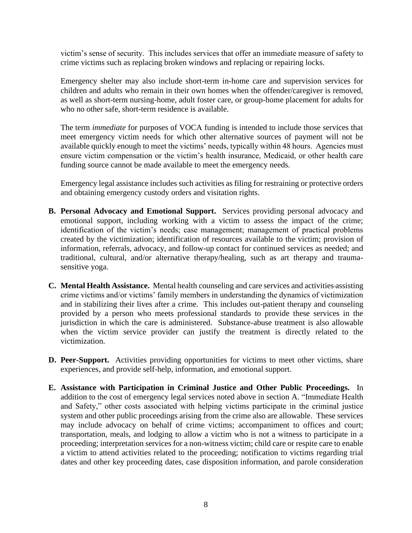victim's sense of security. This includes services that offer an immediate measure of safety to crime victims such as replacing broken windows and replacing or repairing locks.

Emergency shelter may also include short-term in-home care and supervision services for children and adults who remain in their own homes when the offender/caregiver is removed, as well as short-term nursing-home, adult foster care, or group-home placement for adults for who no other safe, short-term residence is available.

The term *immediate* for purposes of VOCA funding is intended to include those services that meet emergency victim needs for which other alternative sources of payment will not be available quickly enough to meet the victims' needs, typically within 48 hours. Agencies must ensure victim compensation or the victim's health insurance, Medicaid, or other health care funding source cannot be made available to meet the emergency needs.

Emergency legal assistance includes such activities as filing for restraining or protective orders and obtaining emergency custody orders and visitation rights.

- **B. Personal Advocacy and Emotional Support.** Services providing personal advocacy and emotional support, including working with a victim to assess the impact of the crime; identification of the victim's needs; case management; management of practical problems created by the victimization; identification of resources available to the victim; provision of information, referrals, advocacy, and follow-up contact for continued services as needed; and traditional, cultural, and/or alternative therapy/healing, such as art therapy and traumasensitive yoga.
- **C. Mental Health Assistance.** Mental health counseling and care services and activities assisting crime victims and/or victims' family members in understanding the dynamics of victimization and in stabilizing their lives after a crime. This includes out-patient therapy and counseling provided by a person who meets professional standards to provide these services in the jurisdiction in which the care is administered. Substance-abuse treatment is also allowable when the victim service provider can justify the treatment is directly related to the victimization.
- **D. Peer-Support.** Activities providing opportunities for victims to meet other victims, share experiences, and provide self-help, information, and emotional support.
- **E. Assistance with Participation in Criminal Justice and Other Public Proceedings.** In addition to the cost of emergency legal services noted above in section A. "Immediate Health and Safety," other costs associated with helping victims participate in the criminal justice system and other public proceedings arising from the crime also are allowable. These services may include advocacy on behalf of crime victims; accompaniment to offices and court; transportation, meals, and lodging to allow a victim who is not a witness to participate in a proceeding; interpretation services for a non-witness victim; child care or respite care to enable a victim to attend activities related to the proceeding; notification to victims regarding trial dates and other key proceeding dates, case disposition information, and parole consideration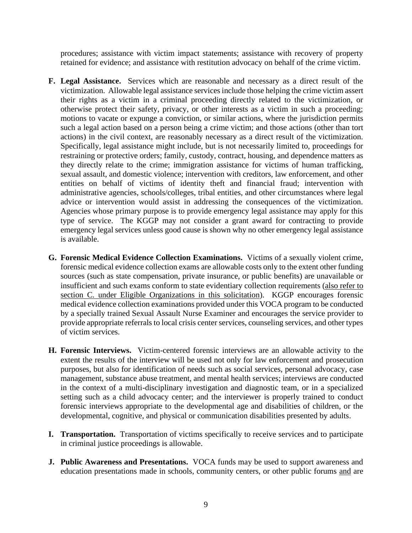procedures; assistance with victim impact statements; assistance with recovery of property retained for evidence; and assistance with restitution advocacy on behalf of the crime victim.

- **F. Legal Assistance.** Services which are reasonable and necessary as a direct result of the victimization. Allowable legal assistance services include those helping the crime victim assert their rights as a victim in a criminal proceeding directly related to the victimization, or otherwise protect their safety, privacy, or other interests as a victim in such a proceeding; motions to vacate or expunge a conviction, or similar actions, where the jurisdiction permits such a legal action based on a person being a crime victim; and those actions (other than tort actions) in the civil context, are reasonably necessary as a direct result of the victimization. Specifically, legal assistance might include, but is not necessarily limited to, proceedings for restraining or protective orders; family, custody, contract, housing, and dependence matters as they directly relate to the crime; immigration assistance for victims of human trafficking, sexual assault, and domestic violence; intervention with creditors, law enforcement, and other entities on behalf of victims of identity theft and financial fraud; intervention with administrative agencies, schools/colleges, tribal entities, and other circumstances where legal advice or intervention would assist in addressing the consequences of the victimization. Agencies whose primary purpose is to provide emergency legal assistance may apply for this type of service. The KGGP may not consider a grant award for contracting to provide emergency legal services unless good cause is shown why no other emergency legal assistance is available.
- **G. Forensic Medical Evidence Collection Examinations.** Victims of a sexually violent crime, forensic medical evidence collection exams are allowable costs only to the extent other funding sources (such as state compensation, private insurance, or public benefits) are unavailable or insufficient and such exams conform to state evidentiary collection requirements (also refer to section C. under Eligible Organizations in this solicitation). KGGP encourages forensic medical evidence collection examinations provided under this VOCA program to be conducted by a specially trained Sexual Assault Nurse Examiner and encourages the service provider to provide appropriate referrals to local crisis center services, counseling services, and other types of victim services.
- **H. Forensic Interviews.** Victim-centered forensic interviews are an allowable activity to the extent the results of the interview will be used not only for law enforcement and prosecution purposes, but also for identification of needs such as social services, personal advocacy, case management, substance abuse treatment, and mental health services; interviews are conducted in the context of a multi-disciplinary investigation and diagnostic team, or in a specialized setting such as a child advocacy center; and the interviewer is properly trained to conduct forensic interviews appropriate to the developmental age and disabilities of children, or the developmental, cognitive, and physical or communication disabilities presented by adults.
- **I. Transportation.** Transportation of victims specifically to receive services and to participate in criminal justice proceedings is allowable.
- **J. Public Awareness and Presentations.** VOCA funds may be used to support awareness and education presentations made in schools, community centers, or other public forums and are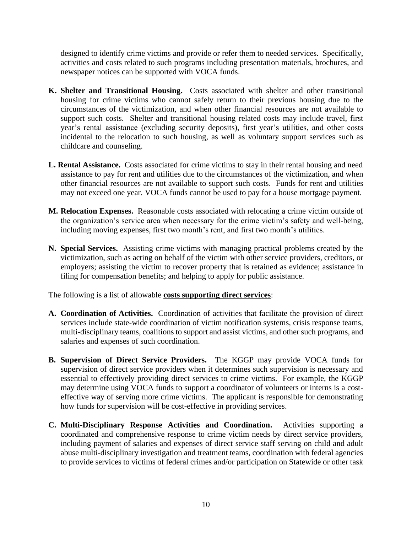designed to identify crime victims and provide or refer them to needed services. Specifically, activities and costs related to such programs including presentation materials, brochures, and newspaper notices can be supported with VOCA funds.

- **K. Shelter and Transitional Housing.** Costs associated with shelter and other transitional housing for crime victims who cannot safely return to their previous housing due to the circumstances of the victimization, and when other financial resources are not available to support such costs. Shelter and transitional housing related costs may include travel, first year's rental assistance (excluding security deposits), first year's utilities, and other costs incidental to the relocation to such housing, as well as voluntary support services such as childcare and counseling.
- **L. Rental Assistance.** Costs associated for crime victims to stay in their rental housing and need assistance to pay for rent and utilities due to the circumstances of the victimization, and when other financial resources are not available to support such costs. Funds for rent and utilities may not exceed one year. VOCA funds cannot be used to pay for a house mortgage payment.
- **M. Relocation Expenses.** Reasonable costs associated with relocating a crime victim outside of the organization's service area when necessary for the crime victim's safety and well-being, including moving expenses, first two month's rent, and first two month's utilities.
- **N. Special Services.** Assisting crime victims with managing practical problems created by the victimization, such as acting on behalf of the victim with other service providers, creditors, or employers; assisting the victim to recover property that is retained as evidence; assistance in filing for compensation benefits; and helping to apply for public assistance.

The following is a list of allowable **costs supporting direct services**:

- **A. Coordination of Activities.** Coordination of activities that facilitate the provision of direct services include state-wide coordination of victim notification systems, crisis response teams, multi-disciplinary teams, coalitions to support and assist victims, and other such programs, and salaries and expenses of such coordination.
- **B. Supervision of Direct Service Providers.** The KGGP may provide VOCA funds for supervision of direct service providers when it determines such supervision is necessary and essential to effectively providing direct services to crime victims. For example, the KGGP may determine using VOCA funds to support a coordinator of volunteers or interns is a costeffective way of serving more crime victims. The applicant is responsible for demonstrating how funds for supervision will be cost-effective in providing services.
- **C. Multi-Disciplinary Response Activities and Coordination.** Activities supporting a coordinated and comprehensive response to crime victim needs by direct service providers, including payment of salaries and expenses of direct service staff serving on child and adult abuse multi-disciplinary investigation and treatment teams, coordination with federal agencies to provide services to victims of federal crimes and/or participation on Statewide or other task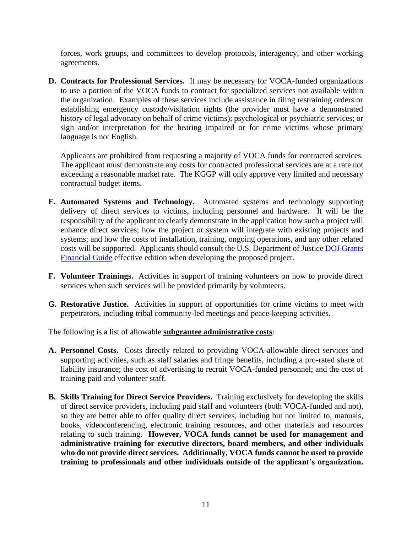forces, work groups, and committees to develop protocols, interagency, and other working agreements.

**D. Contracts for Professional Services.** It may be necessary for VOCA-funded organizations to use a portion of the VOCA funds to contract for specialized services not available within the organization. Examples of these services include assistance in filing restraining orders or establishing emergency custody/visitation rights (the provider must have a demonstrated history of legal advocacy on behalf of crime victims); psychological or psychiatric services; or sign and/or interpretation for the hearing impaired or for crime victims whose primary language is not English.

Applicants are prohibited from requesting a majority of VOCA funds for contracted services. The applicant must demonstrate any costs for contracted professional services are at a rate not exceeding a reasonable market rate. The KGGP will only approve very limited and necessary contractual budget items.

- **E. Automated Systems and Technology.** Automated systems and technology supporting delivery of direct services to victims, including personnel and hardware. It will be the responsibility of the applicant to clearly demonstrate in the application how such a project will enhance direct services; how the project or system will integrate with existing projects and systems; and how the costs of installation, training, ongoing operations, and any other related costs will be supported. Applicants should consult the U.S. Department of Justice [DOJ Grants](http://ojp.gov/financialguide/DOJ/index.htm)  [Financial Guide](http://ojp.gov/financialguide/DOJ/index.htm) effective edition when developing the proposed project.
- **F. Volunteer Trainings.** Activities in support of training volunteers on how to provide direct services when such services will be provided primarily by volunteers.
- **G. Restorative Justice.** Activities in support of opportunities for crime victims to meet with perpetrators, including tribal community-led meetings and peace-keeping activities.

The following is a list of allowable **subgrantee administrative costs**:

- **A. Personnel Costs.** Costs directly related to providing VOCA-allowable direct services and supporting activities, such as staff salaries and fringe benefits, including a pro-rated share of liability insurance; the cost of advertising to recruit VOCA-funded personnel; and the cost of training paid and volunteer staff.
- **B. Skills Training for Direct Service Providers.** Training exclusively for developing the skills of direct service providers, including paid staff and volunteers (both VOCA-funded and not), so they are better able to offer quality direct services, including but not limited to, manuals, books, videoconferencing, electronic training resources, and other materials and resources relating to such training. **However, VOCA funds cannot be used for management and administrative training for executive directors, board members, and other individuals who do not provide direct services. Additionally, VOCA funds cannot be used to provide training to professionals and other individuals outside of the applicant's organization.**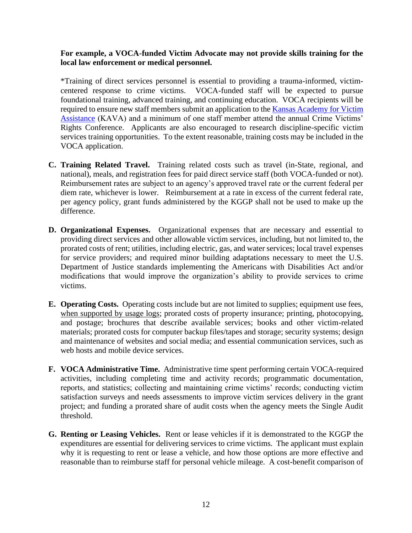#### **For example, a VOCA-funded Victim Advocate may not provide skills training for the local law enforcement or medical personnel.**

\*Training of direct services personnel is essential to providing a trauma-informed, victimcentered response to crime victims. VOCA-funded staff will be expected to pursue foundational training, advanced training, and continuing education. VOCA recipients will be required to ensure new staff members submit an application to the Kansas Academy for Victim [Assistance](https://www.surveymonkey.com/r/7YVNLXQ) (KAVA) and a minimum of one staff member attend the annual Crime Victims' Rights Conference. Applicants are also encouraged to research discipline-specific victim services training opportunities. To the extent reasonable, training costs may be included in the VOCA application.

- **C. Training Related Travel.** Training related costs such as travel (in-State, regional, and national), meals, and registration fees for paid direct service staff (both VOCA-funded or not). Reimbursement rates are subject to an agency's approved travel rate or the current federal per diem rate, whichever is lower. Reimbursement at a rate in excess of the current federal rate, per agency policy, grant funds administered by the KGGP shall not be used to make up the difference.
- **D. Organizational Expenses.** Organizational expenses that are necessary and essential to providing direct services and other allowable victim services, including, but not limited to, the prorated costs of rent; utilities, including electric, gas, and water services; local travel expenses for service providers; and required minor building adaptations necessary to meet the U.S. Department of Justice standards implementing the Americans with Disabilities Act and/or modifications that would improve the organization's ability to provide services to crime victims.
- **E. Operating Costs.** Operating costs include but are not limited to supplies; equipment use fees, when supported by usage logs; prorated costs of property insurance; printing, photocopying, and postage; brochures that describe available services; books and other victim-related materials; prorated costs for computer backup files/tapes and storage; security systems; design and maintenance of websites and social media; and essential communication services, such as web hosts and mobile device services.
- **F. VOCA Administrative Time.** Administrative time spent performing certain VOCA-required activities, including completing time and activity records; programmatic documentation, reports, and statistics; collecting and maintaining crime victims' records; conducting victim satisfaction surveys and needs assessments to improve victim services delivery in the grant project; and funding a prorated share of audit costs when the agency meets the Single Audit threshold.
- **G. Renting or Leasing Vehicles.** Rent or lease vehicles if it is demonstrated to the KGGP the expenditures are essential for delivering services to crime victims. The applicant must explain why it is requesting to rent or lease a vehicle, and how those options are more effective and reasonable than to reimburse staff for personal vehicle mileage. A cost-benefit comparison of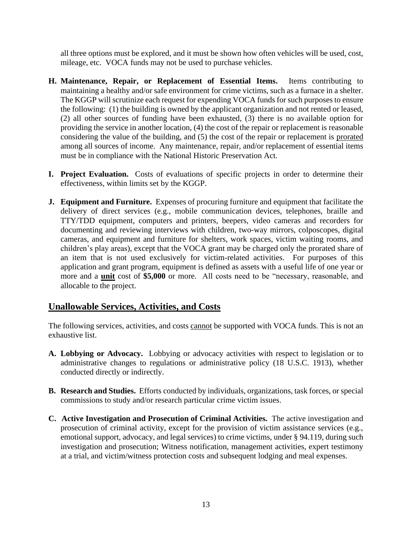all three options must be explored, and it must be shown how often vehicles will be used, cost, mileage, etc. VOCA funds may not be used to purchase vehicles.

- **H. Maintenance, Repair, or Replacement of Essential Items.** Items contributing to maintaining a healthy and/or safe environment for crime victims, such as a furnace in a shelter. The KGGP will scrutinize each request for expending VOCA funds for such purposes to ensure the following: (1) the building is owned by the applicant organization and not rented or leased, (2) all other sources of funding have been exhausted, (3) there is no available option for providing the service in another location, (4) the cost of the repair or replacement is reasonable considering the value of the building, and (5) the cost of the repair or replacement is prorated among all sources of income. Any maintenance, repair, and/or replacement of essential items must be in compliance with the National Historic Preservation Act.
- **I. Project Evaluation.** Costs of evaluations of specific projects in order to determine their effectiveness, within limits set by the KGGP.
- **J. Equipment and Furniture.** Expenses of procuring furniture and equipment that facilitate the delivery of direct services (e.g., mobile communication devices, telephones, braille and TTY/TDD equipment, computers and printers, beepers, video cameras and recorders for documenting and reviewing interviews with children, two-way mirrors, colposcopes, digital cameras, and equipment and furniture for shelters, work spaces, victim waiting rooms, and children's play areas), except that the VOCA grant may be charged only the prorated share of an item that is not used exclusively for victim-related activities. For purposes of this application and grant program, equipment is defined as assets with a useful life of one year or more and a **unit** cost of **\$5,000** or more. All costs need to be "necessary, reasonable, and allocable to the project.

# **Unallowable Services, Activities, and Costs**

The following services, activities, and costs cannot be supported with VOCA funds. This is not an exhaustive list.

- **A. Lobbying or Advocacy.** Lobbying or advocacy activities with respect to legislation or to administrative changes to regulations or administrative policy (18 U.S.C. 1913), whether conducted directly or indirectly.
- **B. Research and Studies.** Efforts conducted by individuals, organizations, task forces, or special commissions to study and/or research particular crime victim issues.
- **C. Active Investigation and Prosecution of Criminal Activities.** The active investigation and prosecution of criminal activity, except for the provision of victim assistance services (e.g., emotional support, advocacy, and legal services) to crime victims, under § 94.119, during such investigation and prosecution; Witness notification, management activities, expert testimony at a trial, and victim/witness protection costs and subsequent lodging and meal expenses.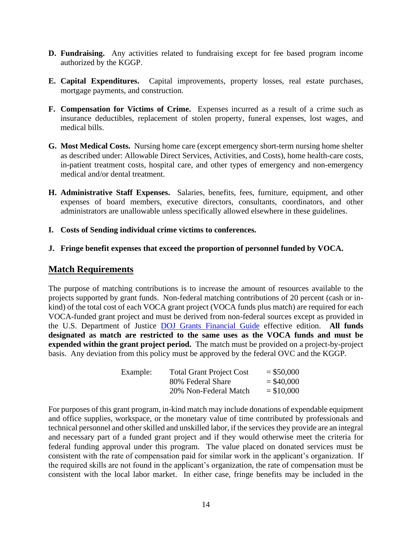- **D. Fundraising.** Any activities related to fundraising except for fee based program income authorized by the KGGP.
- **E. Capital Expenditures.** Capital improvements, property losses, real estate purchases, mortgage payments, and construction.
- **F. Compensation for Victims of Crime.** Expenses incurred as a result of a crime such as insurance deductibles, replacement of stolen property, funeral expenses, lost wages, and medical bills.
- **G. Most Medical Costs.** Nursing home care (except emergency short-term nursing home shelter as described under: Allowable Direct Services, Activities, and Costs), home health-care costs, in-patient treatment costs, hospital care, and other types of emergency and non-emergency medical and/or dental treatment.
- **H. Administrative Staff Expenses.** Salaries, benefits, fees, furniture, equipment, and other expenses of board members, executive directors, consultants, coordinators, and other administrators are unallowable unless specifically allowed elsewhere in these guidelines.
- **I. Costs of Sending individual crime victims to conferences.**
- **J. Fringe benefit expenses that exceed the proportion of personnel funded by VOCA.**

#### **Match Requirements**

The purpose of matching contributions is to increase the amount of resources available to the projects supported by grant funds. Non-federal matching contributions of 20 percent (cash or inkind) of the total cost of each VOCA grant project (VOCA funds plus match) are required for each VOCA-funded grant project and must be derived from non-federal sources except as provided in the U.S. Department of Justice [DOJ Grants Financial Guide](http://ojp.gov/financialguide/DOJ/index.htm) effective edition. **All funds designated as match are restricted to the same uses as the VOCA funds and must be expended within the grant project period.** The match must be provided on a project-by-project basis. Any deviation from this policy must be approved by the federal OVC and the KGGP.

| Example: | <b>Total Grant Project Cost</b> | $=$ \$50,000 |
|----------|---------------------------------|--------------|
|          | 80% Federal Share               | $=$ \$40,000 |
|          | 20% Non-Federal Match           | $= $10,000$  |

For purposes of this grant program, in-kind match may include donations of expendable equipment and office supplies, workspace, or the monetary value of time contributed by professionals and technical personnel and other skilled and unskilled labor, if the services they provide are an integral and necessary part of a funded grant project and if they would otherwise meet the criteria for federal funding approval under this program. The value placed on donated services must be consistent with the rate of compensation paid for similar work in the applicant's organization. If the required skills are not found in the applicant's organization, the rate of compensation must be consistent with the local labor market. In either case, fringe benefits may be included in the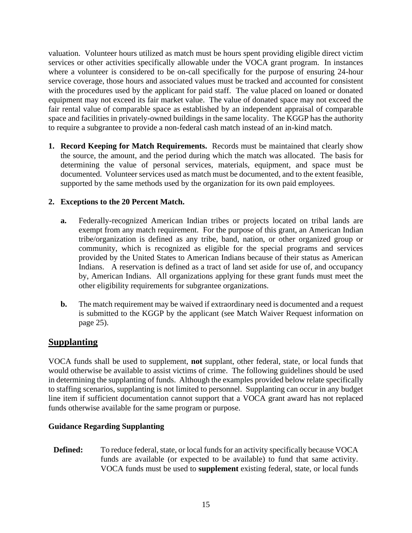valuation. Volunteer hours utilized as match must be hours spent providing eligible direct victim services or other activities specifically allowable under the VOCA grant program. In instances where a volunteer is considered to be on-call specifically for the purpose of ensuring 24-hour service coverage, those hours and associated values must be tracked and accounted for consistent with the procedures used by the applicant for paid staff. The value placed on loaned or donated equipment may not exceed its fair market value. The value of donated space may not exceed the fair rental value of comparable space as established by an independent appraisal of comparable space and facilities in privately-owned buildings in the same locality. The KGGP has the authority to require a subgrantee to provide a non-federal cash match instead of an in-kind match.

**1. Record Keeping for Match Requirements.** Records must be maintained that clearly show the source, the amount, and the period during which the match was allocated. The basis for determining the value of personal services, materials, equipment, and space must be documented. Volunteer services used as match must be documented, and to the extent feasible, supported by the same methods used by the organization for its own paid employees.

#### **2. Exceptions to the 20 Percent Match.**

- **a.** Federally-recognized American Indian tribes or projects located on tribal lands are exempt from any match requirement. For the purpose of this grant, an American Indian tribe/organization is defined as any tribe, band, nation, or other organized group or community, which is recognized as eligible for the special programs and services provided by the United States to American Indians because of their status as American Indians. A reservation is defined as a tract of land set aside for use of, and occupancy by, American Indians. All organizations applying for these grant funds must meet the other eligibility requirements for subgrantee organizations.
- **b.** The match requirement may be waived if extraordinary need is documented and a request is submitted to the KGGP by the applicant (see Match Waiver Request information on page 25).

# **Supplanting**

VOCA funds shall be used to supplement, **not** supplant, other federal, state, or local funds that would otherwise be available to assist victims of crime. The following guidelines should be used in determining the supplanting of funds. Although the examples provided below relate specifically to staffing scenarios, supplanting is not limited to personnel. Supplanting can occur in any budget line item if sufficient documentation cannot support that a VOCA grant award has not replaced funds otherwise available for the same program or purpose.

#### **Guidance Regarding Supplanting**

**Defined:** To reduce federal, state, or local funds for an activity specifically because VOCA funds are available (or expected to be available) to fund that same activity. VOCA funds must be used to **supplement** existing federal, state, or local funds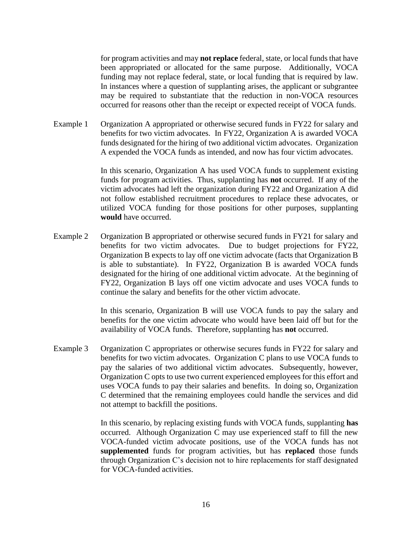for program activities and may **not replace** federal, state, or local funds that have been appropriated or allocated for the same purpose. Additionally, VOCA funding may not replace federal, state, or local funding that is required by law. In instances where a question of supplanting arises, the applicant or subgrantee may be required to substantiate that the reduction in non-VOCA resources occurred for reasons other than the receipt or expected receipt of VOCA funds.

Example 1 Organization A appropriated or otherwise secured funds in FY22 for salary and benefits for two victim advocates. In FY22, Organization A is awarded VOCA funds designated for the hiring of two additional victim advocates. Organization A expended the VOCA funds as intended, and now has four victim advocates.

> In this scenario, Organization A has used VOCA funds to supplement existing funds for program activities. Thus, supplanting has **not** occurred. If any of the victim advocates had left the organization during FY22 and Organization A did not follow established recruitment procedures to replace these advocates, or utilized VOCA funding for those positions for other purposes, supplanting **would** have occurred.

Example 2 Organization B appropriated or otherwise secured funds in FY21 for salary and benefits for two victim advocates. Due to budget projections for FY22, Organization B expects to lay off one victim advocate (facts that Organization B is able to substantiate). In FY22, Organization B is awarded VOCA funds designated for the hiring of one additional victim advocate. At the beginning of FY22, Organization B lays off one victim advocate and uses VOCA funds to continue the salary and benefits for the other victim advocate.

> In this scenario, Organization B will use VOCA funds to pay the salary and benefits for the one victim advocate who would have been laid off but for the availability of VOCA funds. Therefore, supplanting has **not** occurred.

Example 3 Organization C appropriates or otherwise secures funds in FY22 for salary and benefits for two victim advocates. Organization C plans to use VOCA funds to pay the salaries of two additional victim advocates. Subsequently, however, Organization C opts to use two current experienced employees for this effort and uses VOCA funds to pay their salaries and benefits. In doing so, Organization C determined that the remaining employees could handle the services and did not attempt to backfill the positions.

> In this scenario, by replacing existing funds with VOCA funds, supplanting **has** occurred. Although Organization C may use experienced staff to fill the new VOCA-funded victim advocate positions, use of the VOCA funds has not **supplemented** funds for program activities, but has **replaced** those funds through Organization C's decision not to hire replacements for staff designated for VOCA-funded activities.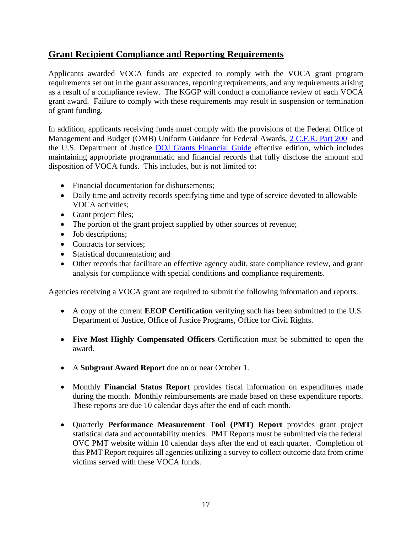# **Grant Recipient Compliance and Reporting Requirements**

Applicants awarded VOCA funds are expected to comply with the VOCA grant program requirements set out in the grant assurances, reporting requirements, and any requirements arising as a result of a compliance review. The KGGP will conduct a compliance review of each VOCA grant award. Failure to comply with these requirements may result in suspension or termination of grant funding.

In addition, applicants receiving funds must comply with the provisions of the Federal Office of Management and Budget (OMB) Uniform Guidance for Federal Awards, [2 C.F.R. Part 200](http://www.ecfr.gov/cgi-bin/text-idx?SID=2c6d1c9f8de1f9619110b4599d84a234&mc=true&node=pt2.1.200&rgn=div5#_top) and the U.S. Department of Justice [DOJ Grants Financial Guide](http://ojp.gov/financialguide/DOJ/index.htm) effective edition, which includes maintaining appropriate programmatic and financial records that fully disclose the amount and disposition of VOCA funds. This includes, but is not limited to:

- Financial documentation for disbursements;
- Daily time and activity records specifying time and type of service devoted to allowable VOCA activities;
- Grant project files;
- The portion of the grant project supplied by other sources of revenue;
- Job descriptions:
- Contracts for services:
- Statistical documentation: and
- Other records that facilitate an effective agency audit, state compliance review, and grant analysis for compliance with special conditions and compliance requirements.

Agencies receiving a VOCA grant are required to submit the following information and reports:

- A copy of the current **EEOP Certification** verifying such has been submitted to the U.S. Department of Justice, Office of Justice Programs, Office for Civil Rights.
- **Five Most Highly Compensated Officers** Certification must be submitted to open the award.
- A **Subgrant Award Report** due on or near October 1.
- Monthly **Financial Status Report** provides fiscal information on expenditures made during the month. Monthly reimbursements are made based on these expenditure reports. These reports are due 10 calendar days after the end of each month.
- Quarterly **Performance Measurement Tool (PMT) Report** provides grant project statistical data and accountability metrics. PMT Reports must be submitted via the federal OVC PMT website within 10 calendar days after the end of each quarter. Completion of this PMT Report requires all agencies utilizing a survey to collect outcome data from crime victims served with these VOCA funds.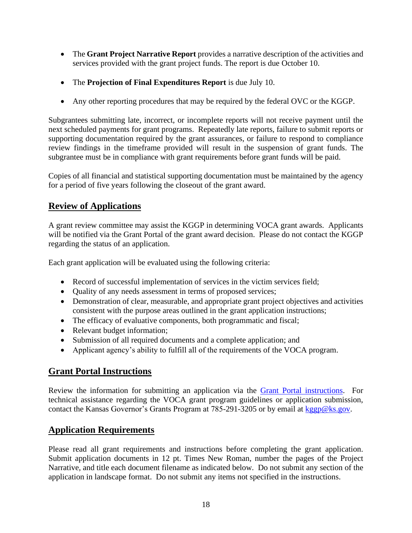- The **Grant Project Narrative Report** provides a narrative description of the activities and services provided with the grant project funds. The report is due October 10.
- The **Projection of Final Expenditures Report** is due July 10.
- Any other reporting procedures that may be required by the federal OVC or the KGGP.

Subgrantees submitting late, incorrect, or incomplete reports will not receive payment until the next scheduled payments for grant programs. Repeatedly late reports, failure to submit reports or supporting documentation required by the grant assurances, or failure to respond to compliance review findings in the timeframe provided will result in the suspension of grant funds. The subgrantee must be in compliance with grant requirements before grant funds will be paid.

Copies of all financial and statistical supporting documentation must be maintained by the agency for a period of five years following the closeout of the grant award.

# **Review of Applications**

A grant review committee may assist the KGGP in determining VOCA grant awards. Applicants will be notified via the Grant Portal of the grant award decision. Please do not contact the KGGP regarding the status of an application.

Each grant application will be evaluated using the following criteria:

- Record of successful implementation of services in the victim services field;
- Quality of any needs assessment in terms of proposed services;
- Demonstration of clear, measurable, and appropriate grant project objectives and activities consistent with the purpose areas outlined in the grant application instructions;
- The efficacy of evaluative components, both programmatic and fiscal;
- Relevant budget information;
- Submission of all required documents and a complete application; and
- Applicant agency's ability to fulfill all of the requirements of the VOCA program.

#### **Grant Portal Instructions**

Review the information for submitting an application via the [Grant Portal instructions.](http://grants.ks.gov/docs/default-source/how-to-guides/application-portal-instructions.pdf?sfvrsn=4) For technical assistance regarding the VOCA grant program guidelines or application submission, contact the Kansas Governor's Grants Program at 785-291-3205 or by email at [kggp@ks.gov.](mailto:kggp@ks.gov)

# **Application Requirements**

Please read all grant requirements and instructions before completing the grant application. Submit application documents in 12 pt. Times New Roman, number the pages of the Project Narrative, and title each document filename as indicated below. Do not submit any section of the application in landscape format. Do not submit any items not specified in the instructions.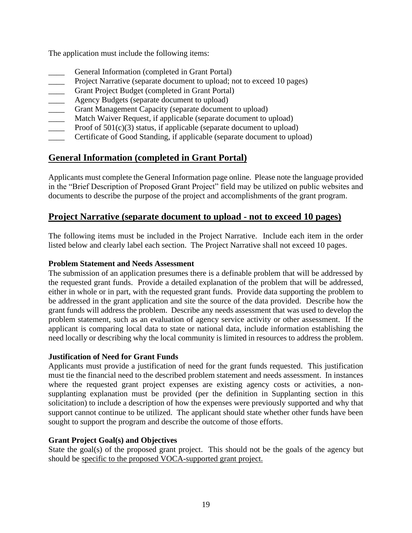The application must include the following items:

- General Information (completed in Grant Portal)
- Project Narrative (separate document to upload; not to exceed 10 pages)
- Grant Project Budget (completed in Grant Portal)
- Agency Budgets (separate document to upload)
- Grant Management Capacity (separate document to upload)
- Match Waiver Request, if applicable (separate document to upload)
- Proof of  $501(c)(3)$  status, if applicable (separate document to upload)
- Certificate of Good Standing, if applicable (separate document to upload)

# **General Information (completed in Grant Portal)**

Applicants must complete the General Information page online. Please note the language provided in the "Brief Description of Proposed Grant Project" field may be utilized on public websites and documents to describe the purpose of the project and accomplishments of the grant program.

# **Project Narrative (separate document to upload - not to exceed 10 pages)**

The following items must be included in the Project Narrative. Include each item in the order listed below and clearly label each section. The Project Narrative shall not exceed 10 pages.

#### **Problem Statement and Needs Assessment**

The submission of an application presumes there is a definable problem that will be addressed by the requested grant funds. Provide a detailed explanation of the problem that will be addressed, either in whole or in part, with the requested grant funds. Provide data supporting the problem to be addressed in the grant application and site the source of the data provided. Describe how the grant funds will address the problem. Describe any needs assessment that was used to develop the problem statement, such as an evaluation of agency service activity or other assessment. If the applicant is comparing local data to state or national data, include information establishing the need locally or describing why the local community is limited in resources to address the problem.

#### **Justification of Need for Grant Funds**

Applicants must provide a justification of need for the grant funds requested. This justification must tie the financial need to the described problem statement and needs assessment. In instances where the requested grant project expenses are existing agency costs or activities, a nonsupplanting explanation must be provided (per the definition in Supplanting section in this solicitation) to include a description of how the expenses were previously supported and why that support cannot continue to be utilized. The applicant should state whether other funds have been sought to support the program and describe the outcome of those efforts.

#### **Grant Project Goal(s) and Objectives**

State the goal(s) of the proposed grant project. This should not be the goals of the agency but should be specific to the proposed VOCA-supported grant project.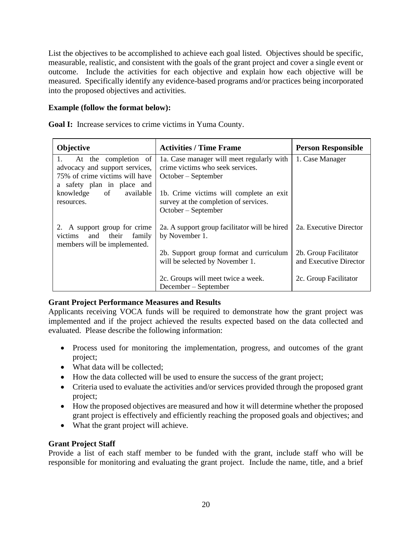List the objectives to be accomplished to achieve each goal listed. Objectives should be specific, measurable, realistic, and consistent with the goals of the grant project and cover a single event or outcome. Include the activities for each objective and explain how each objective will be measured. Specifically identify any evidence-based programs and/or practices being incorporated into the proposed objectives and activities.

#### **Example (follow the format below):**

**Goal I:** Increase services to crime victims in Yuma County.

| <b>Objective</b>                                                                                                             | <b>Activities / Time Frame</b>                                                                            | <b>Person Responsible</b>                       |
|------------------------------------------------------------------------------------------------------------------------------|-----------------------------------------------------------------------------------------------------------|-------------------------------------------------|
| At the completion of<br>1.<br>advocacy and support services,<br>75% of crime victims will have<br>a safety plan in place and | 1a. Case manager will meet regularly with<br>crime victims who seek services.<br>$October - September$    | 1. Case Manager                                 |
| knowledge of available<br>resources.                                                                                         | 1b. Crime victims will complete an exit<br>survey at the completion of services.<br>$October - September$ |                                                 |
| 2. A support group for crime<br>victims and their<br>family<br>members will be implemented.                                  | 2a. A support group facilitator will be hired<br>by November 1.                                           | 2a. Executive Director                          |
|                                                                                                                              | 2b. Support group format and curriculum<br>will be selected by November 1.                                | 2b. Group Facilitator<br>and Executive Director |
|                                                                                                                              | 2c. Groups will meet twice a week.<br>December – September                                                | 2c. Group Facilitator                           |

#### **Grant Project Performance Measures and Results**

Applicants receiving VOCA funds will be required to demonstrate how the grant project was implemented and if the project achieved the results expected based on the data collected and evaluated. Please describe the following information:

- Process used for monitoring the implementation, progress, and outcomes of the grant project;
- What data will be collected;
- How the data collected will be used to ensure the success of the grant project;
- Criteria used to evaluate the activities and/or services provided through the proposed grant project;
- How the proposed objectives are measured and how it will determine whether the proposed grant project is effectively and efficiently reaching the proposed goals and objectives; and
- What the grant project will achieve.

#### **Grant Project Staff**

Provide a list of each staff member to be funded with the grant, include staff who will be responsible for monitoring and evaluating the grant project. Include the name, title, and a brief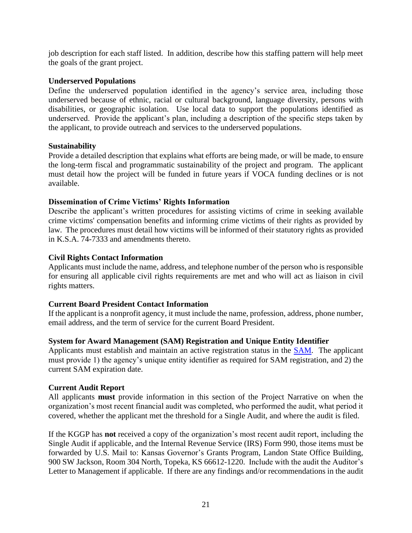job description for each staff listed. In addition, describe how this staffing pattern will help meet the goals of the grant project.

#### **Underserved Populations**

Define the underserved population identified in the agency's service area, including those underserved because of ethnic, racial or cultural background, language diversity, persons with disabilities, or geographic isolation. Use local data to support the populations identified as underserved. Provide the applicant's plan, including a description of the specific steps taken by the applicant, to provide outreach and services to the underserved populations.

#### **Sustainability**

Provide a detailed description that explains what efforts are being made, or will be made, to ensure the long-term fiscal and programmatic sustainability of the project and program. The applicant must detail how the project will be funded in future years if VOCA funding declines or is not available.

#### **Dissemination of Crime Victims' Rights Information**

Describe the applicant's written procedures for assisting victims of crime in seeking available crime victims' compensation benefits and informing crime victims of their rights as provided by law. The procedures must detail how victims will be informed of their statutory rights as provided in K.S.A. 74-7333 and amendments thereto.

#### **Civil Rights Contact Information**

Applicants must include the name, address, and telephone number of the person who is responsible for ensuring all applicable civil rights requirements are met and who will act as liaison in civil rights matters.

#### **Current Board President Contact Information**

If the applicant is a nonprofit agency, it must include the name, profession, address, phone number, email address, and the term of service for the current Board President.

#### **System for Award Management (SAM) Registration and Unique Entity Identifier**

Applicants must establish and maintain an active registration status in the [SAM.](https://www.sam.gov/) The applicant must provide 1) the agency's unique entity identifier as required for SAM registration, and 2) the current SAM expiration date.

#### **Current Audit Report**

All applicants **must** provide information in this section of the Project Narrative on when the organization's most recent financial audit was completed, who performed the audit, what period it covered, whether the applicant met the threshold for a Single Audit, and where the audit is filed.

If the KGGP has **not** received a copy of the organization's most recent audit report, including the Single Audit if applicable, and the Internal Revenue Service (IRS) Form 990, those items must be forwarded by U.S. Mail to: Kansas Governor's Grants Program, Landon State Office Building, 900 SW Jackson, Room 304 North, Topeka, KS 66612-1220. Include with the audit the Auditor's Letter to Management if applicable. If there are any findings and/or recommendations in the audit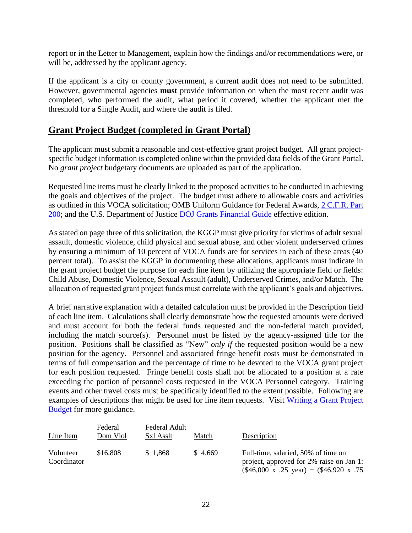report or in the Letter to Management, explain how the findings and/or recommendations were, or will be, addressed by the applicant agency.

If the applicant is a city or county government, a current audit does not need to be submitted. However, governmental agencies **must** provide information on when the most recent audit was completed, who performed the audit, what period it covered, whether the applicant met the threshold for a Single Audit, and where the audit is filed.

#### **Grant Project Budget (completed in Grant Portal)**

The applicant must submit a reasonable and cost-effective grant project budget. All grant projectspecific budget information is completed online within the provided data fields of the Grant Portal. No *grant project* budgetary documents are uploaded as part of the application.

Requested line items must be clearly linked to the proposed activities to be conducted in achieving the goals and objectives of the project. The budget must adhere to allowable costs and activities as outlined in this VOCA solicitation; OMB Uniform Guidance for Federal Awards, [2 C.F.R. Part](http://www.ecfr.gov/cgi-bin/text-idx?SID=2c6d1c9f8de1f9619110b4599d84a234&mc=true&node=pt2.1.200&rgn=div5#_top)  [200;](http://www.ecfr.gov/cgi-bin/text-idx?SID=2c6d1c9f8de1f9619110b4599d84a234&mc=true&node=pt2.1.200&rgn=div5#_top) and the U.S. Department of Justice [DOJ Grants Financial Guide](http://ojp.gov/financialguide/DOJ/index.htm) effective edition.

As stated on page three of this solicitation, the KGGP must give priority for victims of adult sexual assault, domestic violence, child physical and sexual abuse, and other violent underserved crimes by ensuring a minimum of 10 percent of VOCA funds are for services in each of these areas (40 percent total). To assist the KGGP in documenting these allocations, applicants must indicate in the grant project budget the purpose for each line item by utilizing the appropriate field or fields: Child Abuse, Domestic Violence, Sexual Assault (adult), Underserved Crimes, and/or Match. The allocation of requested grant project funds must correlate with the applicant's goals and objectives.

A brief narrative explanation with a detailed calculation must be provided in the Description field of each line item. Calculations shall clearly demonstrate how the requested amounts were derived and must account for both the federal funds requested and the non-federal match provided, including the match source(s). Personnel must be listed by the agency-assigned title for the position. Positions shall be classified as "New" *only if* the requested position would be a new position for the agency. Personnel and associated fringe benefit costs must be demonstrated in terms of full compensation and the percentage of time to be devoted to the VOCA grant project for each position requested. Fringe benefit costs shall not be allocated to a position at a rate exceeding the portion of personnel costs requested in the VOCA Personnel category. Training events and other travel costs must be specifically identified to the extent possible. Following are examples of descriptions that might be used for line item requests. Visit [Writing a Grant Project](https://grants.ks.gov/docs/default-source/how-to-guides/writing-a-grant-project-budget-guide.pdf?sfvrsn=2d1f541a_4)  [Budget](https://grants.ks.gov/docs/default-source/how-to-guides/writing-a-grant-project-budget-guide.pdf?sfvrsn=2d1f541a_4) for more guidance.

| Line Item                | Federal<br>Dom Viol | Federal Adult<br>Sxl Asslt | Match   | Description                                                                                                                                     |
|--------------------------|---------------------|----------------------------|---------|-------------------------------------------------------------------------------------------------------------------------------------------------|
| Volunteer<br>Coordinator | \$16,808            | \$1,868                    | \$4,669 | Full-time, salaried, 50% of time on<br>project, approved for 2% raise on Jan 1:<br>$(\$46,000 \times .25 \text{ year}) + (\$46,920 \times .75)$ |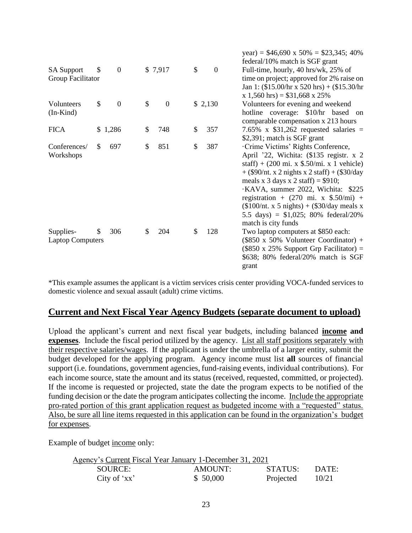|                                        |                        |                        |                      | $\text{year} = 140,090 \times 10\% = 123,343; 40\%$<br>federal/10% match is SGF grant                                                                                                                                                                                                                                                                                                                                                            |
|----------------------------------------|------------------------|------------------------|----------------------|--------------------------------------------------------------------------------------------------------------------------------------------------------------------------------------------------------------------------------------------------------------------------------------------------------------------------------------------------------------------------------------------------------------------------------------------------|
| <b>SA Support</b><br>Group Facilitator | \$<br>$\boldsymbol{0}$ | \$7,917                | \$<br>$\overline{0}$ | Full-time, hourly, 40 hrs/wk, 25% of<br>time on project; approved for 2% raise on<br>Jan 1: $(\$15.00/hr \times 520 hrs) + (\$15.30/hr$<br>$x 1,560$ hrs) = \$31,668 x 25%                                                                                                                                                                                                                                                                       |
| Volunteers<br>$(In-Kind)$              | \$<br>$\boldsymbol{0}$ | \$<br>$\boldsymbol{0}$ | \$2,130              | Volunteers for evening and weekend<br>hotline coverage: \$10/hr based on<br>comparable compensation x 213 hours                                                                                                                                                                                                                                                                                                                                  |
| <b>FICA</b>                            | \$1,286                | \$<br>748              | \$<br>357            | 7.65% x $$31,262$ requested salaries =<br>\$2,391; match is SGF grant                                                                                                                                                                                                                                                                                                                                                                            |
| Conferences/<br>Workshops              | \$<br>697              | \$<br>851              | \$<br>387            | Crime Victims' Rights Conference,<br>April '22, Wichita: (\$135 registr. x 2)<br>staff) + $(200 \text{ mi. x }$ \$.50/mi. x 1 vehicle)<br>$+$ (\$90/nt. x 2 nights x 2 staff) + (\$30/day<br>meals x 3 days x 2 staff) = $$910;$<br>·KAVA, summer 2022, Wichita: \$225<br>registration + $(270 \text{ mi. x } $.50/\text{mi})$ +<br>$($100/nt. x 5 nights) + ($30/day meals x)$<br>5.5 days) = $$1,025$ ; 80% federal/20%<br>match is city funds |
| Supplies-<br><b>Laptop Computers</b>   | \$<br>306              | \$<br>204              | \$<br>128            | Two laptop computers at \$850 each:<br>$(\$850 \times 50\%$ Volunteer Coordinator) +<br>$(\$850 \times 25\%$ Support Grp Facilitator) =<br>\$638; 80% federal/20% match is SGF<br>grant                                                                                                                                                                                                                                                          |

 $\phi$ 46,690 = 500  $\phi$ 92,245; 400

\*This example assumes the applicant is a victim services crisis center providing VOCA-funded services to domestic violence and sexual assault (adult) crime victims.

#### **Current and Next Fiscal Year Agency Budgets (separate document to upload)**

Upload the applicant's current and next fiscal year budgets, including balanced **income and expenses**. Include the fiscal period utilized by the agency. List all staff positions separately with their respective salaries/wages. If the applicant is under the umbrella of a larger entity, submit the budget developed for the applying program. Agency income must list **all** sources of financial support (i.e. foundations, government agencies, fund-raising events, individual contributions). For each income source, state the amount and its status (received, requested, committed, or projected). If the income is requested or projected, state the date the program expects to be notified of the funding decision or the date the program anticipates collecting the income. Include the appropriate pro-rated portion of this grant application request as budgeted income with a "requested" status. Also, be sure all line items requested in this application can be found in the organization's budget for expenses.

Example of budget income only:

| Agency's Current Fiscal Year January 1-December 31, 2021 |          |           |       |  |  |  |
|----------------------------------------------------------|----------|-----------|-------|--|--|--|
| SOURCE:                                                  | AMOUNT:  | STATUS:   | DATE: |  |  |  |
| City of $'xx'$                                           | \$50,000 | Projected | 10/21 |  |  |  |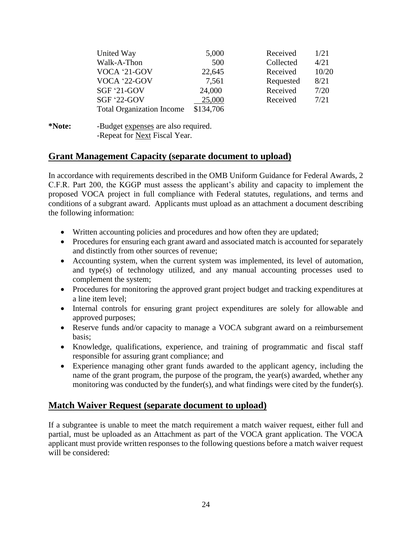| United Way                       | 5,000     | Received  | 1/21  |
|----------------------------------|-----------|-----------|-------|
| Walk-A-Thon                      | 500       | Collected | 4/21  |
| VOCA '21-GOV                     | 22,645    | Received  | 10/20 |
| VOCA '22-GOV                     | 7,561     | Requested | 8/21  |
| $SGF '21-GOV$                    | 24,000    | Received  | 7/20  |
| <b>SGF '22-GOV</b>               | 25,000    | Received  | 7/21  |
| <b>Total Organization Income</b> | \$134,706 |           |       |

**\*Note:** -Budget expenses are also required. -Repeat for Next Fiscal Year.

#### **Grant Management Capacity (separate document to upload)**

In accordance with requirements described in the OMB Uniform Guidance for Federal Awards, 2 C.F.R. Part 200, the KGGP must assess the applicant's ability and capacity to implement the proposed VOCA project in full compliance with Federal statutes, regulations, and terms and conditions of a subgrant award. Applicants must upload as an attachment a document describing the following information:

- Written accounting policies and procedures and how often they are updated;
- Procedures for ensuring each grant award and associated match is accounted for separately and distinctly from other sources of revenue;
- Accounting system, when the current system was implemented, its level of automation, and type(s) of technology utilized, and any manual accounting processes used to complement the system;
- Procedures for monitoring the approved grant project budget and tracking expenditures at a line item level;
- Internal controls for ensuring grant project expenditures are solely for allowable and approved purposes;
- Reserve funds and/or capacity to manage a VOCA subgrant award on a reimbursement basis;
- Knowledge, qualifications, experience, and training of programmatic and fiscal staff responsible for assuring grant compliance; and
- Experience managing other grant funds awarded to the applicant agency, including the name of the grant program, the purpose of the program, the year(s) awarded, whether any monitoring was conducted by the funder(s), and what findings were cited by the funder(s).

#### **Match Waiver Request (separate document to upload)**

If a subgrantee is unable to meet the match requirement a match waiver request, either full and partial, must be uploaded as an Attachment as part of the VOCA grant application. The VOCA applicant must provide written responses to the following questions before a match waiver request will be considered: